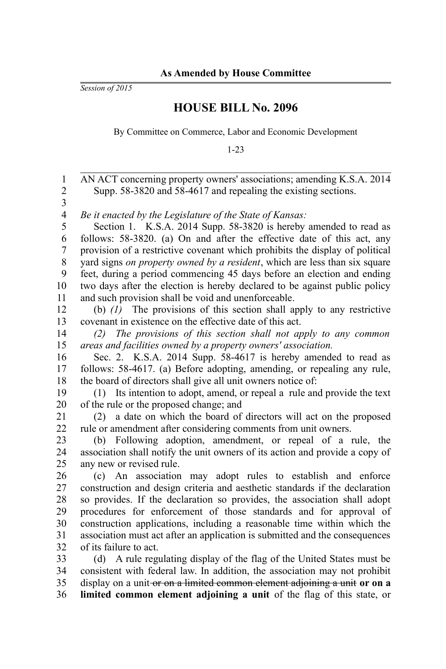*Session of 2015*

## **HOUSE BILL No. 2096**

By Committee on Commerce, Labor and Economic Development

1-23

| $\mathbf{1}$<br>$\overline{c}$ | AN ACT concerning property owners' associations; amending K.S.A. 2014        |
|--------------------------------|------------------------------------------------------------------------------|
| $\overline{\mathbf{3}}$        | Supp. 58-3820 and 58-4617 and repealing the existing sections.               |
| $\overline{4}$                 | Be it enacted by the Legislature of the State of Kansas:                     |
| 5                              | Section 1. K.S.A. 2014 Supp. 58-3820 is hereby amended to read as            |
| 6                              | follows: 58-3820. (a) On and after the effective date of this act, any       |
| 7                              | provision of a restrictive covenant which prohibits the display of political |
| $\,$ 8 $\,$                    | yard signs on property owned by a resident, which are less than six square   |
| 9                              | feet, during a period commencing 45 days before an election and ending       |
| 10                             | two days after the election is hereby declared to be against public policy   |
| 11                             | and such provision shall be void and unenforceable.                          |
| 12                             | (b) $(l)$ The provisions of this section shall apply to any restrictive      |
| 13                             | covenant in existence on the effective date of this act.                     |
| 14                             | The provisions of this section shall not apply to any common<br>(2)          |
| 15                             | areas and facilities owned by a property owners' association.                |
| 16                             | Sec. 2. K.S.A. 2014 Supp. 58-4617 is hereby amended to read as               |
| 17                             | follows: 58-4617. (a) Before adopting, amending, or repealing any rule,      |
| 18                             | the board of directors shall give all unit owners notice of:                 |
| 19                             | Its intention to adopt, amend, or repeal a rule and provide the text<br>(1)  |
| 20                             | of the rule or the proposed change; and                                      |
| 21                             | a date on which the board of directors will act on the proposed<br>(2)       |
| 22                             | rule or amendment after considering comments from unit owners.               |
| 23                             | (b) Following adoption, amendment, or repeal of a rule, the                  |
| 24                             | association shall notify the unit owners of its action and provide a copy of |
| 25                             | any new or revised rule.                                                     |
| 26                             | (c) An association may adopt rules to establish and enforce                  |
| 27                             | construction and design criteria and aesthetic standards if the declaration  |
| 28                             | so provides. If the declaration so provides, the association shall adopt     |
| 29                             | procedures for enforcement of those standards and for approval of            |
| 30                             | construction applications, including a reasonable time within which the      |
| 31                             | association must act after an application is submitted and the consequences  |
| 32                             | of its failure to act.                                                       |
| 33                             | (d) A rule regulating display of the flag of the United States must be       |
| 34                             | consistent with federal law. In addition, the association may not prohibit   |
| 35                             | display on a unit-or on a limited common element adjoining a unit or on a    |
| 36                             | limited common element adjoining a unit of the flag of this state, or        |